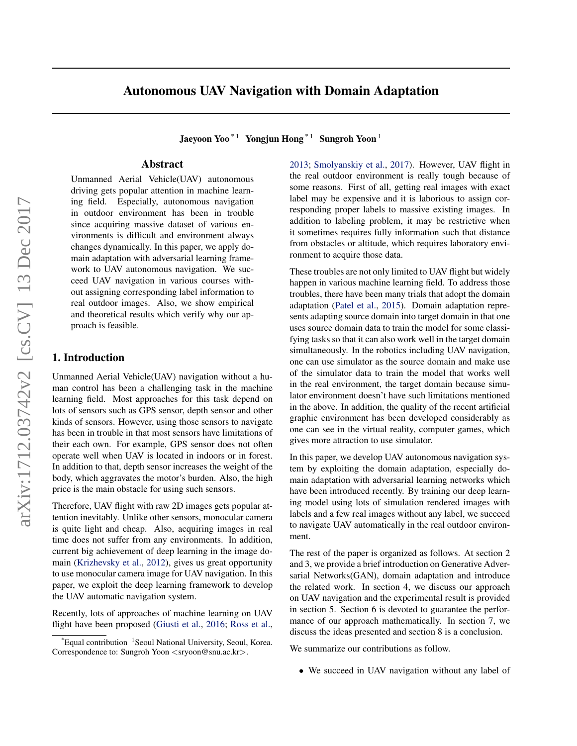# Autonomous UAV Navigation with Domain Adaptation

Jaeyoon Yoo<sup>\* 1</sup> Yongjun Hong<sup>\* 1</sup> Sungroh Yoon<sup>1</sup>

# Abstract

Unmanned Aerial Vehicle(UAV) autonomous driving gets popular attention in machine learning field. Especially, autonomous navigation in outdoor environment has been in trouble since acquiring massive dataset of various environments is difficult and environment always changes dynamically. In this paper, we apply domain adaptation with adversarial learning framework to UAV autonomous navigation. We succeed UAV navigation in various courses without assigning corresponding label information to real outdoor images. Also, we show empirical and theoretical results which verify why our approach is feasible.

### 1. Introduction

Unmanned Aerial Vehicle(UAV) navigation without a human control has been a challenging task in the machine learning field. Most approaches for this task depend on lots of sensors such as GPS sensor, depth sensor and other kinds of sensors. However, using those sensors to navigate has been in trouble in that most sensors have limitations of their each own. For example, GPS sensor does not often operate well when UAV is located in indoors or in forest. In addition to that, depth sensor increases the weight of the body, which aggravates the motor's burden. Also, the high price is the main obstacle for using such sensors.

Therefore, UAV flight with raw 2D images gets popular attention inevitably. Unlike other sensors, monocular camera is quite light and cheap. Also, acquiring images in real time does not suffer from any environments. In addition, current big achievement of deep learning in the image domain [\(Krizhevsky et al.,](#page-9-0) [2012\)](#page-9-0), gives us great opportunity to use monocular camera image for UAV navigation. In this paper, we exploit the deep learning framework to develop the UAV automatic navigation system.

Recently, lots of approaches of machine learning on UAV flight have been proposed [\(Giusti et al.,](#page-8-0) [2016;](#page-8-0) [Ross et al.,](#page-9-0) [2013;](#page-9-0) [Smolyanskiy et al.,](#page-9-0) [2017\)](#page-9-0). However, UAV flight in the real outdoor environment is really tough because of some reasons. First of all, getting real images with exact label may be expensive and it is laborious to assign corresponding proper labels to massive existing images. In addition to labeling problem, it may be restrictive when it sometimes requires fully information such that distance from obstacles or altitude, which requires laboratory environment to acquire those data.

These troubles are not only limited to UAV flight but widely happen in various machine learning field. To address those troubles, there have been many trials that adopt the domain adaptation [\(Patel et al.,](#page-9-0) [2015\)](#page-9-0). Domain adaptation represents adapting source domain into target domain in that one uses source domain data to train the model for some classifying tasks so that it can also work well in the target domain simultaneously. In the robotics including UAV navigation, one can use simulator as the source domain and make use of the simulator data to train the model that works well in the real environment, the target domain because simulator environment doesn't have such limitations mentioned in the above. In addition, the quality of the recent artificial graphic environment has been developed considerably as one can see in the virtual reality, computer games, which gives more attraction to use simulator.

In this paper, we develop UAV autonomous navigation system by exploiting the domain adaptation, especially domain adaptation with adversarial learning networks which have been introduced recently. By training our deep learning model using lots of simulation rendered images with labels and a few real images without any label, we succeed to navigate UAV automatically in the real outdoor environment.

The rest of the paper is organized as follows. At section 2 and 3, we provide a brief introduction on Generative Adversarial Networks(GAN), domain adaptation and introduce the related work. In section 4, we discuss our approach on UAV navigation and the experimental result is provided in section 5. Section 6 is devoted to guarantee the performance of our approach mathematically. In section 7, we discuss the ideas presented and section 8 is a conclusion.

We summarize our contributions as follow.

• We succeed in UAV navigation without any label of

<sup>\*</sup>Equal contribution <sup>1</sup> Seoul National University, Seoul, Korea. Correspondence to: Sungroh Yoon <sryoon@snu.ac.kr>.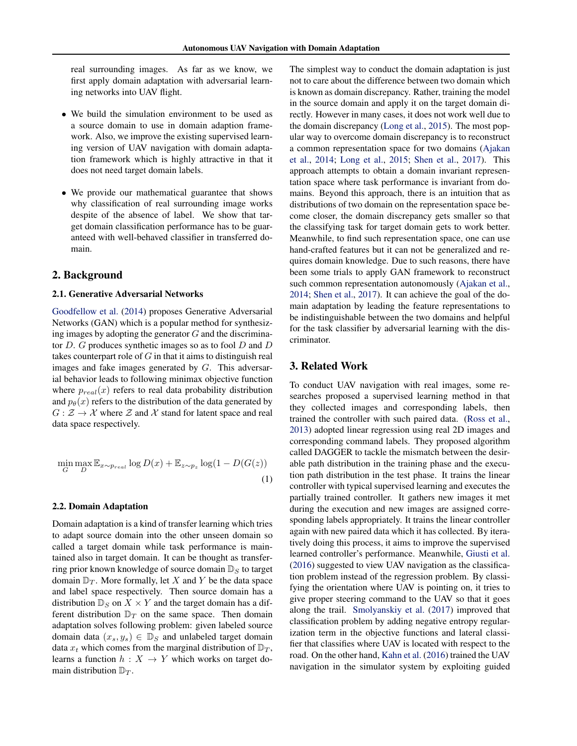real surrounding images. As far as we know, we first apply domain adaptation with adversarial learning networks into UAV flight.

- We build the simulation environment to be used as a source domain to use in domain adaption framework. Also, we improve the existing supervised learning version of UAV navigation with domain adaptation framework which is highly attractive in that it does not need target domain labels.
- We provide our mathematical guarantee that shows why classification of real surrounding image works despite of the absence of label. We show that target domain classification performance has to be guaranteed with well-behaved classifier in transferred domain.

# 2. Background

### 2.1. Generative Adversarial Networks

[Goodfellow et al.](#page-9-0) [\(2014\)](#page-9-0) proposes Generative Adversarial Networks (GAN) which is a popular method for synthesizing images by adopting the generator  $G$  and the discriminator  $D$ . G produces synthetic images so as to fool  $D$  and  $D$ takes counterpart role of  $G$  in that it aims to distinguish real images and fake images generated by G. This adversarial behavior leads to following minimax objective function where  $p_{real}(x)$  refers to real data probability distribution and  $p_{\theta}(x)$  refers to the distribution of the data generated by  $G: \mathcal{Z} \to \mathcal{X}$  where  $\mathcal{Z}$  and  $\mathcal{X}$  stand for latent space and real data space respectively.

$$
\min_{G} \max_{D} \mathbb{E}_{x \sim p_{real}} \log D(x) + \mathbb{E}_{z \sim p_z} \log(1 - D(G(z))
$$
\n(1)

### 2.2. Domain Adaptation

Domain adaptation is a kind of transfer learning which tries to adapt source domain into the other unseen domain so called a target domain while task performance is maintained also in target domain. It can be thought as transferring prior known knowledge of source domain  $\mathbb{D}_S$  to target domain  $\mathbb{D}_T$ . More formally, let X and Y be the data space and label space respectively. Then source domain has a distribution  $\mathbb{D}_S$  on  $X \times Y$  and the target domain has a different distribution  $\mathbb{D}_T$  on the same space. Then domain adaptation solves following problem: given labeled source domain data  $(x_s, y_s) \in \mathbb{D}_S$  and unlabeled target domain data  $x_t$  which comes from the marginal distribution of  $\mathbb{D}_T$ , learns a function  $h: X \to Y$  which works on target domain distribution  $\mathbb{D}_T$ .

The simplest way to conduct the domain adaptation is just not to care about the difference between two domain which is known as domain discrepancy. Rather, training the model in the source domain and apply it on the target domain directly. However in many cases, it does not work well due to the domain discrepancy [\(Long et al.,](#page-9-0) [2015\)](#page-9-0). The most popular way to overcome domain discrepancy is to reconstruct a common representation space for two domains [\(Ajakan](#page-8-0) [et al.,](#page-8-0) [2014;](#page-8-0) [Long et al.,](#page-9-0) [2015;](#page-9-0) [Shen et al.,](#page-9-0) [2017\)](#page-9-0). This approach attempts to obtain a domain invariant representation space where task performance is invariant from domains. Beyond this approach, there is an intuition that as distributions of two domain on the representation space become closer, the domain discrepancy gets smaller so that the classifying task for target domain gets to work better. Meanwhile, to find such representation space, one can use hand-crafted features but it can not be generalized and requires domain knowledge. Due to such reasons, there have been some trials to apply GAN framework to reconstruct such common representation autonomously [\(Ajakan et al.,](#page-8-0) [2014;](#page-8-0) [Shen et al.,](#page-9-0) [2017\)](#page-9-0). It can achieve the goal of the domain adaptation by leading the feature representations to be indistinguishable between the two domains and helpful for the task classifier by adversarial learning with the discriminator.

# 3. Related Work

To conduct UAV navigation with real images, some researches proposed a supervised learning method in that they collected images and corresponding labels, then trained the controller with such paired data. [\(Ross et al.,](#page-9-0) [2013\)](#page-9-0) adopted linear regression using real 2D images and corresponding command labels. They proposed algorithm called DAGGER to tackle the mismatch between the desirable path distribution in the training phase and the execution path distribution in the test phase. It trains the linear controller with typical supervised learning and executes the partially trained controller. It gathers new images it met during the execution and new images are assigned corresponding labels appropriately. It trains the linear controller again with new paired data which it has collected. By iteratively doing this process, it aims to improve the supervised learned controller's performance. Meanwhile, [Giusti et al.](#page-8-0) [\(2016\)](#page-8-0) suggested to view UAV navigation as the classification problem instead of the regression problem. By classifying the orientation where UAV is pointing on, it tries to give proper steering command to the UAV so that it goes along the trail. [Smolyanskiy et al.](#page-9-0) [\(2017\)](#page-9-0) improved that classification problem by adding negative entropy regularization term in the objective functions and lateral classifier that classifies where UAV is located with respect to the road. On the other hand, [Kahn et al.](#page-9-0) [\(2016\)](#page-9-0) trained the UAV navigation in the simulator system by exploiting guided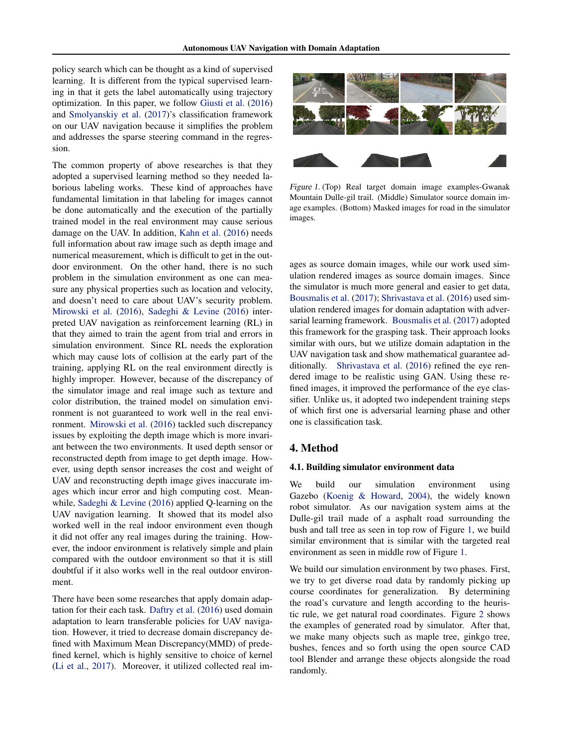<span id="page-2-0"></span>policy search which can be thought as a kind of supervised learning. It is different from the typical supervised learning in that it gets the label automatically using trajectory optimization. In this paper, we follow [Giusti et al.](#page-8-0) [\(2016\)](#page-8-0) and [Smolyanskiy et al.](#page-9-0) [\(2017\)](#page-9-0)'s classification framework on our UAV navigation because it simplifies the problem and addresses the sparse steering command in the regression.

The common property of above researches is that they adopted a supervised learning method so they needed laborious labeling works. These kind of approaches have fundamental limitation in that labeling for images cannot be done automatically and the execution of the partially trained model in the real environment may cause serious damage on the UAV. In addition, [Kahn et al.](#page-9-0) [\(2016\)](#page-9-0) needs full information about raw image such as depth image and numerical measurement, which is difficult to get in the outdoor environment. On the other hand, there is no such problem in the simulation environment as one can measure any physical properties such as location and velocity, and doesn't need to care about UAV's security problem. [Mirowski et al.](#page-9-0) [\(2016\)](#page-9-0), [Sadeghi & Levine](#page-9-0) [\(2016\)](#page-9-0) interpreted UAV navigation as reinforcement learning (RL) in that they aimed to train the agent from trial and errors in simulation environment. Since RL needs the exploration which may cause lots of collision at the early part of the training, applying RL on the real environment directly is highly improper. However, because of the discrepancy of the simulator image and real image such as texture and color distribution, the trained model on simulation environment is not guaranteed to work well in the real environment. [Mirowski et al.](#page-9-0) [\(2016\)](#page-9-0) tackled such discrepancy issues by exploiting the depth image which is more invariant between the two environments. It used depth sensor or reconstructed depth from image to get depth image. However, using depth sensor increases the cost and weight of UAV and reconstructing depth image gives inaccurate images which incur error and high computing cost. Meanwhile, [Sadeghi & Levine](#page-9-0) [\(2016\)](#page-9-0) applied Q-learning on the UAV navigation learning. It showed that its model also worked well in the real indoor environment even though it did not offer any real images during the training. However, the indoor environment is relatively simple and plain compared with the outdoor environment so that it is still doubtful if it also works well in the real outdoor environment.

There have been some researches that apply domain adaptation for their each task. [Daftry et al.](#page-8-0) [\(2016\)](#page-8-0) used domain adaptation to learn transferable policies for UAV navigation. However, it tried to decrease domain discrepancy defined with Maximum Mean Discrepancy(MMD) of predefined kernel, which is highly sensitive to choice of kernel [\(Li et al.,](#page-9-0) [2017\)](#page-9-0). Moreover, it utilized collected real im-



Figure 1. (Top) Real target domain image examples-Gwanak Mountain Dulle-gil trail. (Middle) Simulator source domain image examples. (Bottom) Masked images for road in the simulator images.

ages as source domain images, while our work used simulation rendered images as source domain images. Since the simulator is much more general and easier to get data, [Bousmalis et al.](#page-8-0) [\(2017\)](#page-8-0); [Shrivastava et al.](#page-9-0) [\(2016\)](#page-9-0) used simulation rendered images for domain adaptation with adversarial learning framework. [Bousmalis et al.](#page-8-0) [\(2017\)](#page-8-0) adopted this framework for the grasping task. Their approach looks similar with ours, but we utilize domain adaptation in the UAV navigation task and show mathematical guarantee ad-ditionally. [Shrivastava et al.](#page-9-0) [\(2016\)](#page-9-0) refined the eye rendered image to be realistic using GAN. Using these refined images, it improved the performance of the eye classifier. Unlike us, it adopted two independent training steps of which first one is adversarial learning phase and other one is classification task.

# 4. Method

### 4.1. Building simulator environment data

We build our simulation environment using Gazebo [\(Koenig & Howard,](#page-9-0) [2004\)](#page-9-0), the widely known robot simulator. As our navigation system aims at the Dulle-gil trail made of a asphalt road surrounding the bush and tall tree as seen in top row of Figure 1, we build similar environment that is similar with the targeted real environment as seen in middle row of Figure 1.

We build our simulation environment by two phases. First, we try to get diverse road data by randomly picking up course coordinates for generalization. By determining the road's curvature and length according to the heuristic rule, we get natural road coordinates. Figure [2](#page-3-0) shows the examples of generated road by simulator. After that, we make many objects such as maple tree, ginkgo tree, bushes, fences and so forth using the open source CAD tool Blender and arrange these objects alongside the road randomly.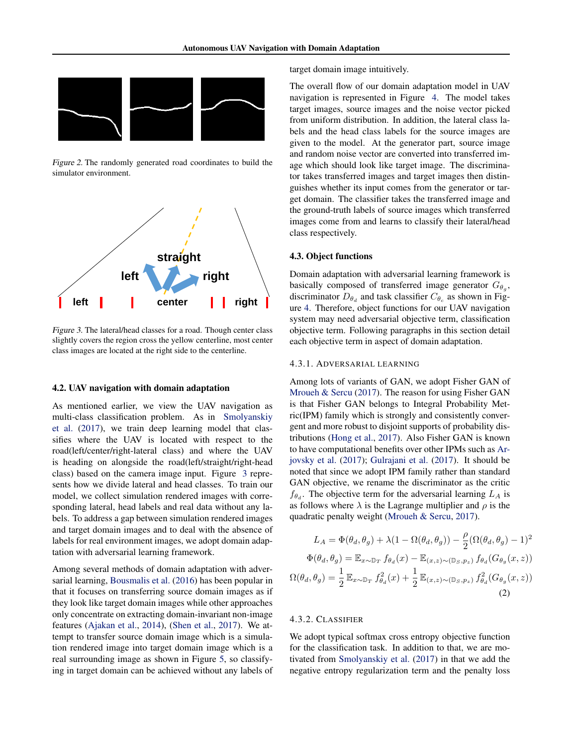<span id="page-3-0"></span>

Figure 2. The randomly generated road coordinates to build the simulator environment.



Figure 3. The lateral/head classes for a road. Though center class slightly covers the region cross the yellow centerline, most center class images are located at the right side to the centerline.

### 4.2. UAV navigation with domain adaptation

As mentioned earlier, we view the UAV navigation as multi-class classification problem. As in [Smolyanskiy](#page-9-0) [et al.](#page-9-0) [\(2017\)](#page-9-0), we train deep learning model that classifies where the UAV is located with respect to the road(left/center/right-lateral class) and where the UAV is heading on alongside the road(left/straight/right-head class) based on the camera image input. Figure 3 represents how we divide lateral and head classes. To train our model, we collect simulation rendered images with corresponding lateral, head labels and real data without any labels. To address a gap between simulation rendered images and target domain images and to deal with the absence of labels for real environment images, we adopt domain adaptation with adversarial learning framework.

Among several methods of domain adaptation with adversarial learning, [Bousmalis et al.](#page-8-0) [\(2016\)](#page-8-0) has been popular in that it focuses on transferring source domain images as if they look like target domain images while other approaches only concentrate on extracting domain-invariant non-image features [\(Ajakan et al.,](#page-8-0) [2014\)](#page-8-0), [\(Shen et al.,](#page-9-0) [2017\)](#page-9-0). We attempt to transfer source domain image which is a simulation rendered image into target domain image which is a real surrounding image as shown in Figure [5,](#page-5-0) so classifying in target domain can be achieved without any labels of target domain image intuitively.

The overall flow of our domain adaptation model in UAV navigation is represented in Figure [4.](#page-4-0) The model takes target images, source images and the noise vector picked from uniform distribution. In addition, the lateral class labels and the head class labels for the source images are given to the model. At the generator part, source image and random noise vector are converted into transferred image which should look like target image. The discriminator takes transferred images and target images then distinguishes whether its input comes from the generator or target domain. The classifier takes the transferred image and the ground-truth labels of source images which transferred images come from and learns to classify their lateral/head class respectively.

### 4.3. Object functions

Domain adaptation with adversarial learning framework is basically composed of transferred image generator  $G_{\theta_g}$ , discriminator  $D_{\theta_d}$  and task classifier  $C_{\theta_c}$  as shown in Figure [4.](#page-4-0) Therefore, object functions for our UAV navigation system may need adversarial objective term, classification objective term. Following paragraphs in this section detail each objective term in aspect of domain adaptation.

### 4.3.1. ADVERSARIAL LEARNING

Among lots of variants of GAN, we adopt Fisher GAN of [Mroueh & Sercu](#page-9-0) [\(2017\)](#page-9-0). The reason for using Fisher GAN is that Fisher GAN belongs to Integral Probability Metric(IPM) family which is strongly and consistently convergent and more robust to disjoint supports of probability distributions [\(Hong et al.,](#page-9-0) [2017\)](#page-9-0). Also Fisher GAN is known to have computational benefits over other IPMs such as [Ar](#page-8-0)[jovsky et al.](#page-8-0) [\(2017\)](#page-8-0); [Gulrajani et al.](#page-9-0) [\(2017\)](#page-9-0). It should be noted that since we adopt IPM family rather than standard GAN objective, we rename the discriminator as the critic  $f_{\theta_d}$ . The objective term for the adversarial learning  $L_A$  is as follows where  $\lambda$  is the Lagrange multiplier and  $\rho$  is the quadratic penalty weight [\(Mroueh & Sercu,](#page-9-0) [2017\)](#page-9-0).

$$
L_A = \Phi(\theta_d, \theta_g) + \lambda (1 - \Omega(\theta_d, \theta_g)) - \frac{\rho}{2} (\Omega(\theta_d, \theta_g) - 1)^2
$$
  

$$
\Phi(\theta_d, \theta_g) = \mathbb{E}_{x \sim \mathbb{D}_T} f_{\theta_d}(x) - \mathbb{E}_{(x, z) \sim (\mathbb{D}_S, p_z)} f_{\theta_d}(G_{\theta_g}(x, z))
$$
  

$$
\Omega(\theta_d, \theta_g) = \frac{1}{2} \mathbb{E}_{x \sim \mathbb{D}_T} f_{\theta_d}^2(x) + \frac{1}{2} \mathbb{E}_{(x, z) \sim (\mathbb{D}_S, p_z)} f_{\theta_d}^2(G_{\theta_g}(x, z))
$$
  
(2)

### 4.3.2. CLASSIFIER

We adopt typical softmax cross entropy objective function for the classification task. In addition to that, we are motivated from [Smolyanskiy et al.](#page-9-0) [\(2017\)](#page-9-0) in that we add the negative entropy regularization term and the penalty loss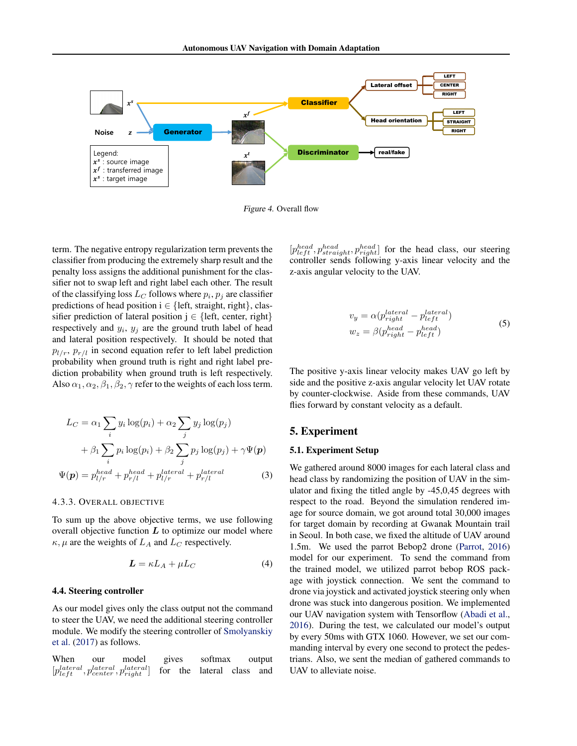<span id="page-4-0"></span>

Figure 4. Overall flow

term. The negative entropy regularization term prevents the classifier from producing the extremely sharp result and the penalty loss assigns the additional punishment for the classifier not to swap left and right label each other. The result of the classifying loss  $L_C$  follows where  $p_i, p_j$  are classifier predictions of head position  $i \in \{left, straight, right\}$ , classifier prediction of lateral position  $j \in \{left, center, right\}$ respectively and  $y_i$ ,  $y_j$  are the ground truth label of head and lateral position respectively. It should be noted that  $p_{l/r}, p_{r/l}$  in second equation refer to left label prediction probability when ground truth is right and right label prediction probability when ground truth is left respectively. Also  $\alpha_1, \alpha_2, \beta_1, \beta_2, \gamma$  refer to the weights of each loss term.

$$
L_C = \alpha_1 \sum_i y_i \log(p_i) + \alpha_2 \sum_j y_j \log(p_j)
$$
  
+  $\beta_1 \sum_i p_i \log(p_i) + \beta_2 \sum_j p_j \log(p_j) + \gamma \Psi(\mathbf{p})$   

$$
\Psi(\mathbf{p}) = p_{l/r}^{head} + p_{r/l}^{head} + p_{l/r}^{lateral} + p_{r/l}^{lateral}
$$
 (3)

### 4.3.3. OVERALL OBJECTIVE

To sum up the above objective terms, we use following overall objective function  $L$  to optimize our model where  $\kappa, \mu$  are the weights of  $L_A$  and  $L_C$  respectively.

$$
L = \kappa L_A + \mu L_C \tag{4}
$$

#### 4.4. Steering controller

As our model gives only the class output not the command to steer the UAV, we need the additional steering controller module. We modify the steering controller of [Smolyanskiy](#page-9-0) [et al.](#page-9-0) [\(2017\)](#page-9-0) as follows.

When our model gives softmax output  $[p_{left}^{lateral}, p_{center}^{lateral}, p_{right}^{lateral}]$ for the lateral class and

 $[p_{left}^{head}, p_{straight}^{head}, p_{right}^{head}]$  for the head class, our steering controller sends following y-axis linear velocity and the z-axis angular velocity to the UAV.

$$
v_y = \alpha(p_{right}^{lateral} - p_{left}^{lateral})
$$
  
\n
$$
w_z = \beta(p_{right}^{head} - p_{left}^{head})
$$
\n(5)

The positive y-axis linear velocity makes UAV go left by side and the positive z-axis angular velocity let UAV rotate by counter-clockwise. Aside from these commands, UAV flies forward by constant velocity as a default.

# 5. Experiment

### 5.1. Experiment Setup

We gathered around 8000 images for each lateral class and head class by randomizing the position of UAV in the simulator and fixing the titled angle by -45,0,45 degrees with respect to the road. Beyond the simulation rendered image for source domain, we got around total 30,000 images for target domain by recording at Gwanak Mountain trail in Seoul. In both case, we fixed the altitude of UAV around 1.5m. We used the parrot Bebop2 drone [\(Parrot,](#page-9-0) [2016\)](#page-9-0) model for our experiment. To send the command from the trained model, we utilized parrot bebop ROS package with joystick connection. We sent the command to drone via joystick and activated joystick steering only when drone was stuck into dangerous position. We implemented our UAV navigation system with Tensorflow [\(Abadi et al.,](#page-8-0) [2016\)](#page-8-0). During the test, we calculated our model's output by every 50ms with GTX 1060. However, we set our commanding interval by every one second to protect the pedestrians. Also, we sent the median of gathered commands to UAV to alleviate noise.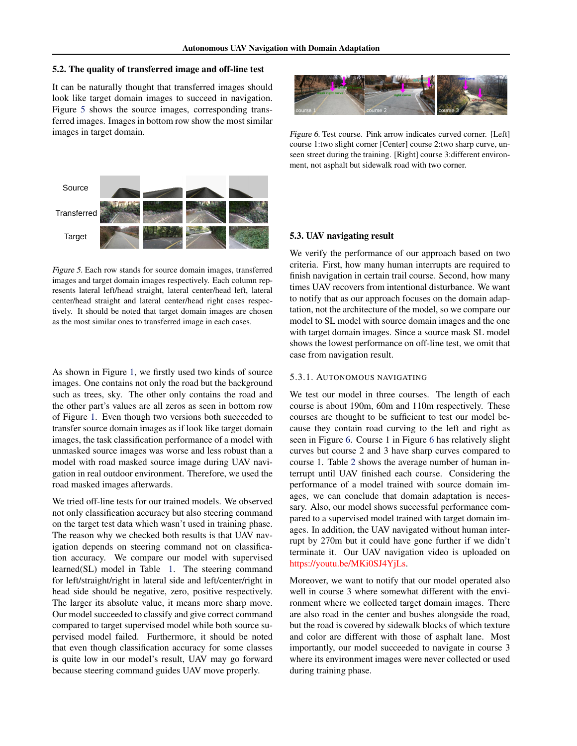### <span id="page-5-0"></span>5.2. The quality of transferred image and off-line test

It can be naturally thought that transferred images should look like target domain images to succeed in navigation. Figure 5 shows the source images, corresponding transferred images. Images in bottom row show the most similar images in target domain.



Figure 5. Each row stands for source domain images, transferred images and target domain images respectively. Each column represents lateral left/head straight, lateral center/head left, lateral center/head straight and lateral center/head right cases respectively. It should be noted that target domain images are chosen as the most similar ones to transferred image in each cases.

As shown in Figure [1,](#page-2-0) we firstly used two kinds of source images. One contains not only the road but the background such as trees, sky. The other only contains the road and the other part's values are all zeros as seen in bottom row of Figure [1.](#page-2-0) Even though two versions both succeeded to transfer source domain images as if look like target domain images, the task classification performance of a model with unmasked source images was worse and less robust than a model with road masked source image during UAV navigation in real outdoor environment. Therefore, we used the road masked images afterwards.

We tried off-line tests for our trained models. We observed not only classification accuracy but also steering command on the target test data which wasn't used in training phase. The reason why we checked both results is that UAV navigation depends on steering command not on classification accuracy. We compare our model with supervised learned(SL) model in Table [1.](#page-6-0) The steering command for left/straight/right in lateral side and left/center/right in head side should be negative, zero, positive respectively. The larger its absolute value, it means more sharp move. Our model succeeded to classify and give correct command compared to target supervised model while both source supervised model failed. Furthermore, it should be noted that even though classification accuracy for some classes is quite low in our model's result, UAV may go forward because steering command guides UAV move properly.



Figure 6. Test course. Pink arrow indicates curved corner. [Left] course 1:two slight corner [Center] course 2:two sharp curve, unseen street during the training. [Right] course 3:different environment, not asphalt but sidewalk road with two corner.

#### 5.3. UAV navigating result

We verify the performance of our approach based on two criteria. First, how many human interrupts are required to finish navigation in certain trail course. Second, how many times UAV recovers from intentional disturbance. We want to notify that as our approach focuses on the domain adaptation, not the architecture of the model, so we compare our model to SL model with source domain images and the one with target domain images. Since a source mask SL model shows the lowest performance on off-line test, we omit that case from navigation result.

### 5.3.1. AUTONOMOUS NAVIGATING

We test our model in three courses. The length of each course is about 190m, 60m and 110m respectively. These courses are thought to be sufficient to test our model because they contain road curving to the left and right as seen in Figure 6. Course 1 in Figure 6 has relatively slight curves but course 2 and 3 have sharp curves compared to course 1. Table [2](#page-6-0) shows the average number of human interrupt until UAV finished each course. Considering the performance of a model trained with source domain images, we can conclude that domain adaptation is necessary. Also, our model shows successful performance compared to a supervised model trained with target domain images. In addition, the UAV navigated without human interrupt by 270m but it could have gone further if we didn't terminate it. Our UAV navigation video is uploaded on https://youtu.be/MKi0SJ4YjLs.

Moreover, we want to notify that our model operated also well in course 3 where somewhat different with the environment where we collected target domain images. There are also road in the center and bushes alongside the road, but the road is covered by sidewalk blocks of which texture and color are different with those of asphalt lane. Most importantly, our model succeeded to navigate in course 3 where its environment images were never collected or used during training phase.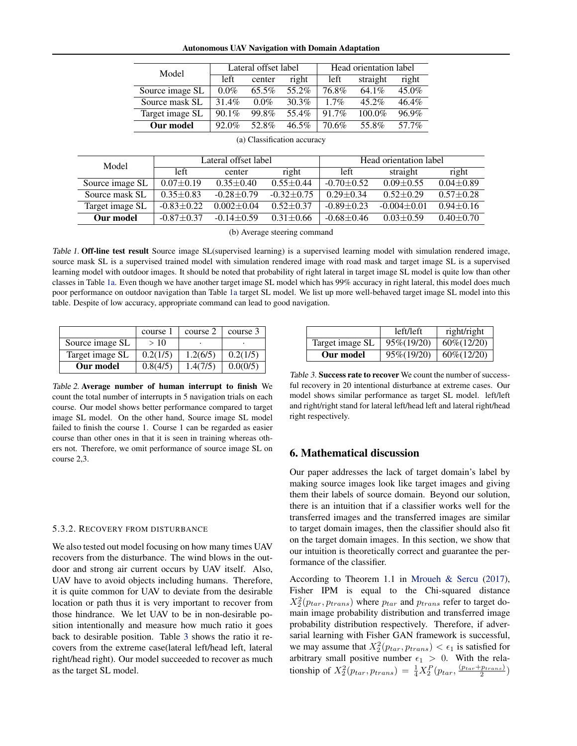#### Autonomous UAV Navigation with Domain Adaptation

<span id="page-6-0"></span>

| Model           | Lateral offset label |          |          | Head orientation label |           |          |
|-----------------|----------------------|----------|----------|------------------------|-----------|----------|
|                 | left                 | center   | right    | left.                  | straight  | right    |
| Source image SL | $0.0\%$              | $65.5\%$ | 55.2%    | 76.8%                  | $64.1\%$  | $45.0\%$ |
| Source mask SL  | $31.4\%$             | $0.0\%$  | 30.3%    | $1.7\%$                | $45.2\%$  | $46.4\%$ |
| Target image SL | $90.1\%$             | 99.8%    | 55.4%    | $91.7\%$               | $100.0\%$ | 96.9%    |
| Our model       | $92.0\%$             | 52.8%    | $46.5\%$ | 70.6%                  | 55.8%     | 57.7%    |

|                 |                 |                  | Head orientation label |                 |               |
|-----------------|-----------------|------------------|------------------------|-----------------|---------------|
| left            | center          | right            | left                   | straight        | right         |
| $0.07 \pm 0.19$ | $0.35 \pm 0.40$ | $0.55 + 0.44$    | $-0.70 \pm 0.52$       | $0.09 + 0.55$   | $0.04 + 0.89$ |
| $0.35 + 0.83$   | $-0.28 + 0.79$  | $-0.32 \pm 0.75$ | $0.29 + 0.34$          | $0.52 + 0.29$   | $0.57 + 0.28$ |
| $-0.83 + 0.22$  | $0.002 + 0.04$  | $0.52 + 0.37$    | $-0.89 \pm 0.23$       | $-0.004 + 0.01$ | $0.94 + 0.16$ |
| $-0.87 + 0.37$  | $-0.14 + 0.59$  | $0.31 + 0.66$    | $-0.68 + 0.46$         | $0.03 + 0.59$   | $0.40 + 0.70$ |
|                 |                 |                  | Lateral offset label   |                 |               |

(a) Classification accuracy

(b) Average steering command

Table 1. Off-line test result Source image SL(supervised learning) is a supervised learning model with simulation rendered image, source mask SL is a supervised trained model with simulation rendered image with road mask and target image SL is a supervised learning model with outdoor images. It should be noted that probability of right lateral in target image SL model is quite low than other classes in Table 1a. Even though we have another target image SL model which has 99% accuracy in right lateral, this model does much poor performance on outdoor navigation than Table 1a target SL model. We list up more well-behaved target image SL model into this table. Despite of low accuracy, appropriate command can lead to good navigation.

|                 | course 1 | course 2 | course 3 |
|-----------------|----------|----------|----------|
| Source image SL | >10      |          |          |
| Target image SL | 0.2(1/5) | 1.2(6/5) | 0.2(1/5) |
| Our model       | 0.8(4/5) | 1.4(7/5) | 0.0(0/5) |

Table 2. Average number of human interrupt to finish We count the total number of interrupts in 5 navigation trials on each course. Our model shows better performance compared to target image SL model. On the other hand, Source image SL model failed to finish the course 1. Course 1 can be regarded as easier course than other ones in that it is seen in training whereas others not. Therefore, we omit performance of source image SL on course 2,3.

#### 5.3.2. RECOVERY FROM DISTURBANCE

We also tested out model focusing on how many times UAV recovers from the disturbance. The wind blows in the outdoor and strong air current occurs by UAV itself. Also, UAV have to avoid objects including humans. Therefore, it is quite common for UAV to deviate from the desirable location or path thus it is very important to recover from those hindrance. We let UAV to be in non-desirable position intentionally and measure how much ratio it goes back to desirable position. Table 3 shows the ratio it recovers from the extreme case(lateral left/head left, lateral right/head right). Our model succeeded to recover as much as the target SL model.

|                 | left/left   | right/right    |
|-----------------|-------------|----------------|
| Target image SL | 95\%(19/20) | $60\% (12/20)$ |
| Our model       | 95\%(19/20) | $60\% (12/20)$ |

Table 3. Success rate to recover We count the number of successful recovery in 20 intentional disturbance at extreme cases. Our model shows similar performance as target SL model. left/left and right/right stand for lateral left/head left and lateral right/head right respectively.

# 6. Mathematical discussion

Our paper addresses the lack of target domain's label by making source images look like target images and giving them their labels of source domain. Beyond our solution, there is an intuition that if a classifier works well for the transferred images and the transferred images are similar to target domain images, then the classifier should also fit on the target domain images. In this section, we show that our intuition is theoretically correct and guarantee the performance of the classifier.

According to Theorem 1.1 in [Mroueh & Sercu](#page-9-0) [\(2017\)](#page-9-0), Fisher IPM is equal to the Chi-squared distance  $X_2^2(p_{tar}, p_{trans})$  where  $p_{tar}$  and  $p_{trans}$  refer to target domain image probability distribution and transferred image probability distribution respectively. Therefore, if adversarial learning with Fisher GAN framework is successful, we may assume that  $X_2^2(p_{tar}, p_{trans}) < \epsilon_1$  is satisfied for arbitrary small positive number  $\epsilon_1 > 0$ . With the relationship of  $X_2^2(p_{tar}, p_{trans}) = \frac{1}{4} X_2^P(p_{tar}, \frac{(p_{tar}+p_{trans})}{2})$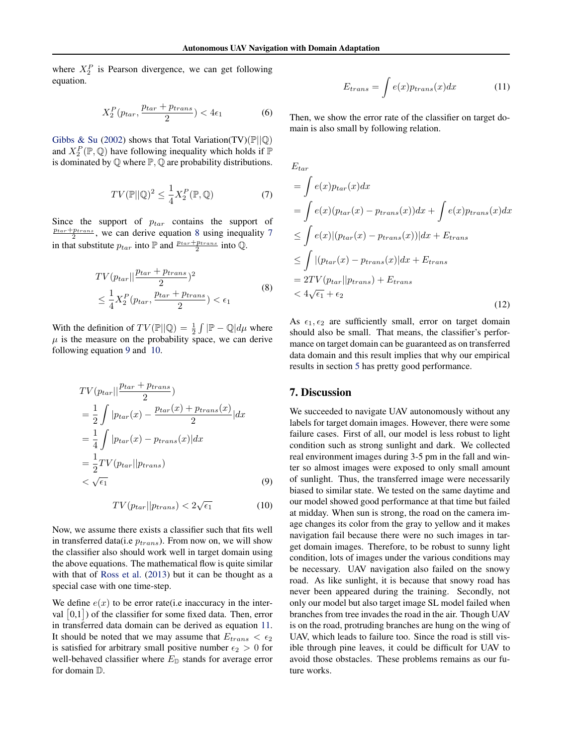where  $X_2^P$  is Pearson divergence, we can get following equation.

$$
X_2^P(p_{tar}, \frac{p_{tar} + p_{trans}}{2}) < 4\epsilon_1 \tag{6}
$$

[Gibbs & Su](#page-8-0) [\(2002\)](#page-8-0) shows that Total Variation(TV)( $\mathbb{P} \parallel \mathbb{Q}$ ) and  $X_2^P(\mathbb{P}, \mathbb{Q})$  have following inequality which holds if  $\mathbb{P}$ is dominated by  $\mathbb Q$  where  $\mathbb P$ ,  $\mathbb Q$  are probability distributions.

$$
TV(\mathbb{P}||\mathbb{Q})^2 \le \frac{1}{4} X_2^P(\mathbb{P}, \mathbb{Q})
$$
 (7)

Since the support of  $p_{tar}$  contains the support of  $\frac{p_{tar}+p_{trans}}{2}$ , we can derive equation 8 using inequality 7 in that substitute  $p_{tar}$  into  $\mathbb{P}$  and  $\frac{p_{tar} + p_{trans}}{2}$  into  $\mathbb{Q}$ .

$$
TV(p_{tar} || \frac{p_{tar} + p_{trans}}{2})^2
$$
  
\n
$$
\leq \frac{1}{4} X_2^P(p_{tar}, \frac{p_{tar} + p_{trans}}{2}) < \epsilon_1
$$
\n(8)

With the definition of  $TV(\mathbb{P} || \mathbb{Q}) = \frac{1}{2} \int |\mathbb{P} - \mathbb{Q}| d\mu$  where  $\mu$  is the measure on the probability space, we can derive following equation 9 and 10.

$$
TV(p_{tar} || \frac{p_{tar} + p_{trans}}{2})
$$
  
=  $\frac{1}{2} \int |p_{tar}(x) - \frac{p_{tar}(x) + p_{trans}(x)}{2}| dx$   
=  $\frac{1}{4} \int |p_{tar}(x) - p_{trans}(x)| dx$   
=  $\frac{1}{2} TV(p_{tar} || p_{trans})$   
<  $\sqrt{\epsilon_1}$  (9)

$$
TV(p_{tar}||p_{trans}) < 2\sqrt{\epsilon_1} \tag{10}
$$

Now, we assume there exists a classifier such that fits well in transferred data(i.e  $p_{trans}$ ). From now on, we will show the classifier also should work well in target domain using the above equations. The mathematical flow is quite similar with that of [Ross et al.](#page-9-0) [\(2013\)](#page-9-0) but it can be thought as a special case with one time-step.

We define  $e(x)$  to be error rate(i.e inaccuracy in the interval  $[0,1]$ ) of the classifier for some fixed data. Then, error in transferred data domain can be derived as equation 11. It should be noted that we may assume that  $E_{trans} < \epsilon_2$ is satisfied for arbitrary small positive number  $\epsilon_2 > 0$  for well-behaved classifier where  $E_{\mathbb{D}}$  stands for average error for domain D.

$$
E_{trans} = \int e(x) p_{trans}(x) dx \tag{11}
$$

Then, we show the error rate of the classifier on target domain is also small by following relation.

$$
E_{tar}
$$
  
=  $\int e(x)p_{tar}(x)dx$   
=  $\int e(x)(p_{tar}(x) - p_{trans}(x))dx + \int e(x)p_{trans}(x)dx$   
 $\leq \int e(x)|(p_{tar}(x) - p_{trans}(x))|dx + E_{trans}$   
 $\leq \int |(p_{tar}(x) - p_{trans}(x)|dx + E_{trans}$   
=  $2TV(p_{tar}||p_{trans}) + E_{trans}$   
 $< 4\sqrt{\epsilon_1} + \epsilon_2$  (12)

As  $\epsilon_1, \epsilon_2$  are sufficiently small, error on target domain should also be small. That means, the classifier's performance on target domain can be guaranteed as on transferred data domain and this result implies that why our empirical results in section [5](#page-4-0) has pretty good performance.

# 7. Discussion

We succeeded to navigate UAV autonomously without any labels for target domain images. However, there were some failure cases. First of all, our model is less robust to light condition such as strong sunlight and dark. We collected real environment images during 3-5 pm in the fall and winter so almost images were exposed to only small amount of sunlight. Thus, the transferred image were necessarily biased to similar state. We tested on the same daytime and our model showed good performance at that time but failed at midday. When sun is strong, the road on the camera image changes its color from the gray to yellow and it makes navigation fail because there were no such images in target domain images. Therefore, to be robust to sunny light condition, lots of images under the various conditions may be necessary. UAV navigation also failed on the snowy road. As like sunlight, it is because that snowy road has never been appeared during the training. Secondly, not only our model but also target image SL model failed when branches from tree invades the road in the air. Though UAV is on the road, protruding branches are hung on the wing of UAV, which leads to failure too. Since the road is still visible through pine leaves, it could be difficult for UAV to avoid those obstacles. These problems remains as our future works.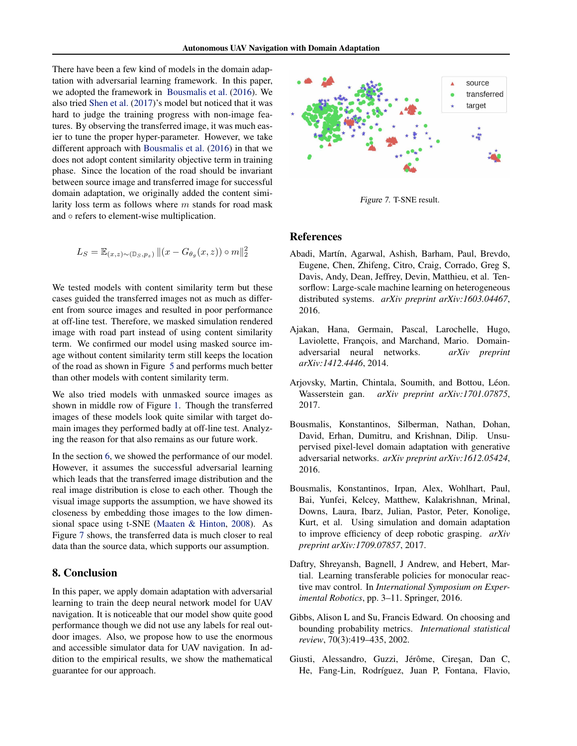<span id="page-8-0"></span>There have been a few kind of models in the domain adaptation with adversarial learning framework. In this paper, we adopted the framework in Bousmalis et al. (2016). We also tried [Shen et al.](#page-9-0) [\(2017\)](#page-9-0)'s model but noticed that it was hard to judge the training progress with non-image features. By observing the transferred image, it was much easier to tune the proper hyper-parameter. However, we take different approach with Bousmalis et al. (2016) in that we does not adopt content similarity objective term in training phase. Since the location of the road should be invariant between source image and transferred image for successful domain adaptation, we originally added the content similarity loss term as follows where  $m$  stands for road mask and ◦ refers to element-wise multiplication.

$$
L_S = \mathbb{E}_{(x,z)\sim(\mathbb{D}_S,p_z)} ||(x - G_{\theta_g}(x,z)) \circ m||_2^2
$$

We tested models with content similarity term but these cases guided the transferred images not as much as different from source images and resulted in poor performance at off-line test. Therefore, we masked simulation rendered image with road part instead of using content similarity term. We confirmed our model using masked source image without content similarity term still keeps the location of the road as shown in Figure [5](#page-5-0) and performs much better than other models with content similarity term.

We also tried models with unmasked source images as shown in middle row of Figure [1.](#page-2-0) Though the transferred images of these models look quite similar with target domain images they performed badly at off-line test. Analyzing the reason for that also remains as our future work.

In the section [6,](#page-6-0) we showed the performance of our model. However, it assumes the successful adversarial learning which leads that the transferred image distribution and the real image distribution is close to each other. Though the visual image supports the assumption, we have showed its closeness by embedding those images to the low dimensional space using t-SNE [\(Maaten & Hinton,](#page-9-0) [2008\)](#page-9-0). As Figure 7 shows, the transferred data is much closer to real data than the source data, which supports our assumption.

# 8. Conclusion

In this paper, we apply domain adaptation with adversarial learning to train the deep neural network model for UAV navigation. It is noticeable that our model show quite good performance though we did not use any labels for real outdoor images. Also, we propose how to use the enormous and accessible simulator data for UAV navigation. In addition to the empirical results, we show the mathematical guarantee for our approach.



Figure 7. T-SNE result.

### References

- Abadi, Martín, Agarwal, Ashish, Barham, Paul, Brevdo, Eugene, Chen, Zhifeng, Citro, Craig, Corrado, Greg S, Davis, Andy, Dean, Jeffrey, Devin, Matthieu, et al. Tensorflow: Large-scale machine learning on heterogeneous distributed systems. *arXiv preprint arXiv:1603.04467*, 2016.
- Ajakan, Hana, Germain, Pascal, Larochelle, Hugo, Laviolette, François, and Marchand, Mario. Domainadversarial neural networks. *arXiv preprint arXiv:1412.4446*, 2014.
- Arjovsky, Martin, Chintala, Soumith, and Bottou, Léon. Wasserstein gan. *arXiv preprint arXiv:1701.07875*, 2017.
- Bousmalis, Konstantinos, Silberman, Nathan, Dohan, David, Erhan, Dumitru, and Krishnan, Dilip. Unsupervised pixel-level domain adaptation with generative adversarial networks. *arXiv preprint arXiv:1612.05424*, 2016.
- Bousmalis, Konstantinos, Irpan, Alex, Wohlhart, Paul, Bai, Yunfei, Kelcey, Matthew, Kalakrishnan, Mrinal, Downs, Laura, Ibarz, Julian, Pastor, Peter, Konolige, Kurt, et al. Using simulation and domain adaptation to improve efficiency of deep robotic grasping. *arXiv preprint arXiv:1709.07857*, 2017.
- Daftry, Shreyansh, Bagnell, J Andrew, and Hebert, Martial. Learning transferable policies for monocular reactive mav control. In *International Symposium on Experimental Robotics*, pp. 3–11. Springer, 2016.
- Gibbs, Alison L and Su, Francis Edward. On choosing and bounding probability metrics. *International statistical review*, 70(3):419–435, 2002.
- Giusti, Alessandro, Guzzi, Jérôme, Ciresan, Dan C, He, Fang-Lin, Rodríguez, Juan P, Fontana, Flavio,